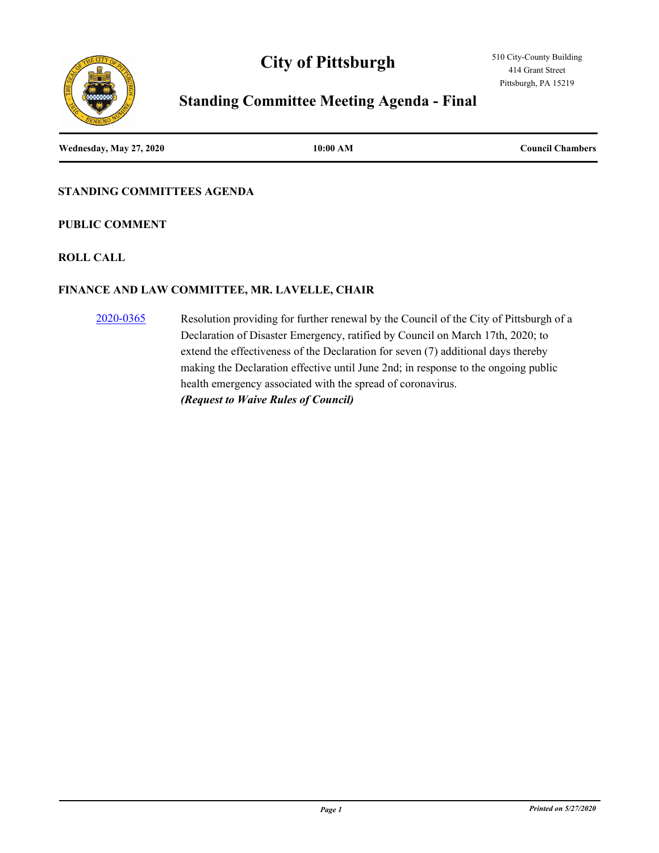# **City of Pittsburgh**



## **Standing Committee Meeting Agenda - Final**

**Wednesday, May 27, 2020 10:00 AM Council Chambers**

#### **STANDING COMMITTEES AGENDA**

#### **PUBLIC COMMENT**

#### **ROLL CALL**

#### **FINANCE AND LAW COMMITTEE, MR. LAVELLE, CHAIR**

[2020-0365](http://pittsburgh.legistar.com/gateway.aspx?m=l&id=/matter.aspx?key=25158) Resolution providing for further renewal by the Council of the City of Pittsburgh of a Declaration of Disaster Emergency, ratified by Council on March 17th, 2020; to extend the effectiveness of the Declaration for seven (7) additional days thereby making the Declaration effective until June 2nd; in response to the ongoing public health emergency associated with the spread of coronavirus. *(Request to Waive Rules of Council)*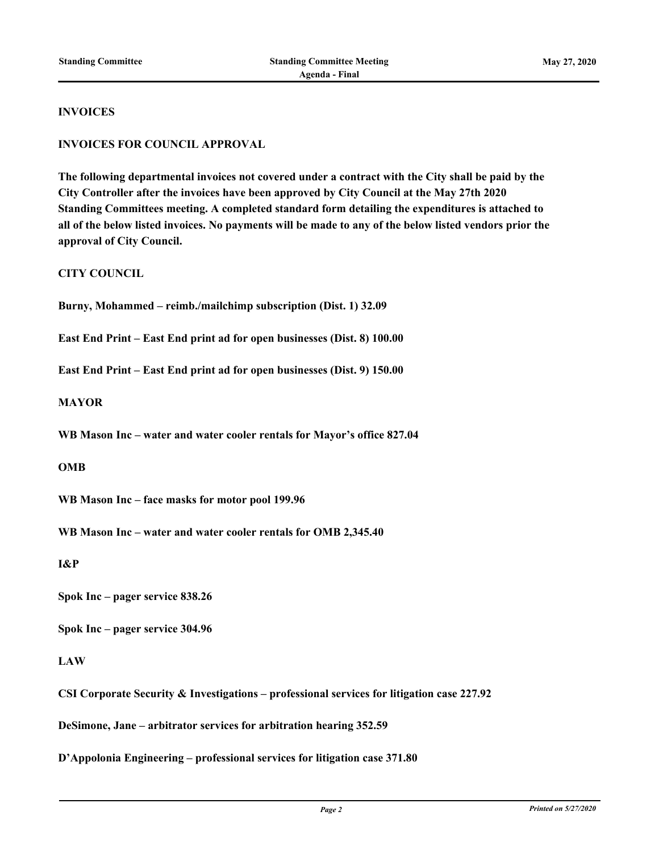#### **INVOICES**

#### **INVOICES FOR COUNCIL APPROVAL**

**The following departmental invoices not covered under a contract with the City shall be paid by the City Controller after the invoices have been approved by City Council at the May 27th 2020 Standing Committees meeting. A completed standard form detailing the expenditures is attached to all of the below listed invoices. No payments will be made to any of the below listed vendors prior the approval of City Council.**

#### **CITY COUNCIL**

**Burny, Mohammed – reimb./mailchimp subscription (Dist. 1) 32.09**

**East End Print – East End print ad for open businesses (Dist. 8) 100.00**

**East End Print – East End print ad for open businesses (Dist. 9) 150.00**

**MAYOR**

**WB Mason Inc – water and water cooler rentals for Mayor's office 827.04**

**OMB**

**WB Mason Inc – face masks for motor pool 199.96**

**WB Mason Inc – water and water cooler rentals for OMB 2,345.40**

**I&P**

**Spok Inc – pager service 838.26**

**Spok Inc – pager service 304.96**

#### **LAW**

**CSI Corporate Security & Investigations – professional services for litigation case 227.92**

**DeSimone, Jane – arbitrator services for arbitration hearing 352.59**

**D'Appolonia Engineering – professional services for litigation case 371.80**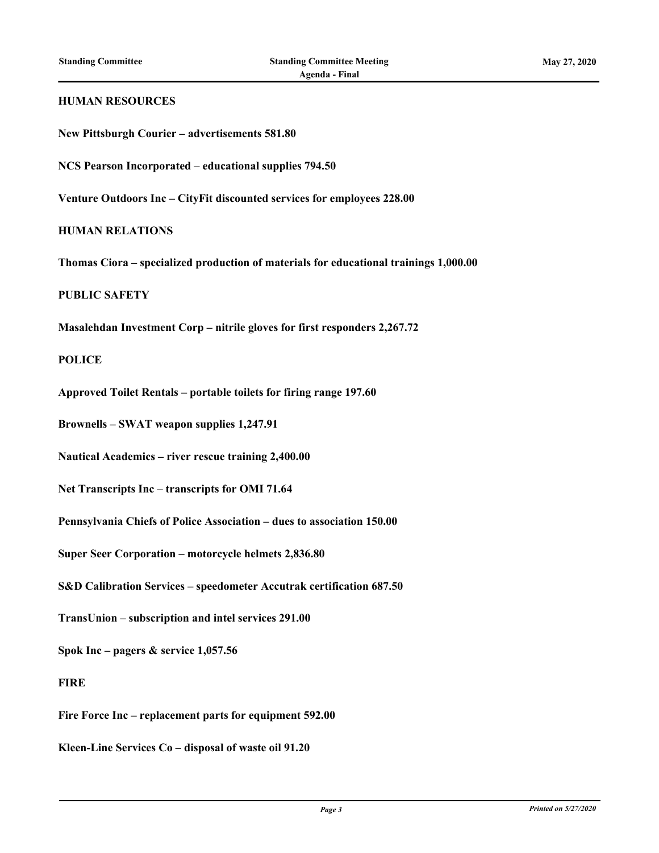# **HUMAN RESOURCES New Pittsburgh Courier – advertisements 581.80 NCS Pearson Incorporated – educational supplies 794.50 Venture Outdoors Inc – CityFit discounted services for employees 228.00 HUMAN RELATIONS Thomas Ciora – specialized production of materials for educational trainings 1,000.00 PUBLIC SAFETY Masalehdan Investment Corp – nitrile gloves for first responders 2,267.72 POLICE Approved Toilet Rentals – portable toilets for firing range 197.60 Brownells – SWAT weapon supplies 1,247.91 Nautical Academics – river rescue training 2,400.00 Net Transcripts Inc – transcripts for OMI 71.64 Pennsylvania Chiefs of Police Association – dues to association 150.00 Super Seer Corporation – motorcycle helmets 2,836.80 S&D Calibration Services – speedometer Accutrak certification 687.50 TransUnion – subscription and intel services 291.00 Spok Inc – pagers & service 1,057.56 FIRE Fire Force Inc – replacement parts for equipment 592.00 Kleen-Line Services Co – disposal of waste oil 91.20**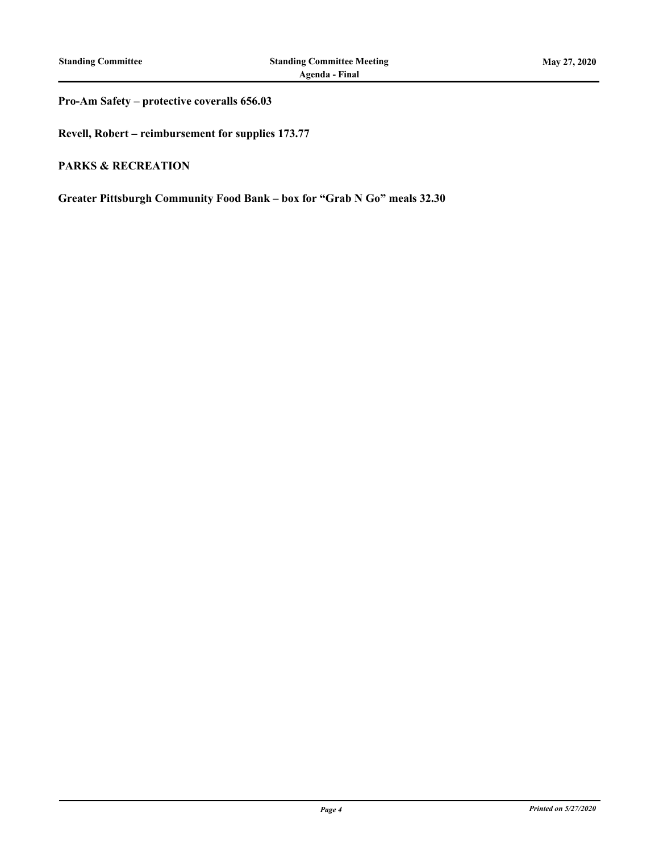#### **Pro-Am Safety – protective coveralls 656.03**

**Revell, Robert – reimbursement for supplies 173.77**

#### **PARKS & RECREATION**

**Greater Pittsburgh Community Food Bank – box for "Grab N Go" meals 32.30**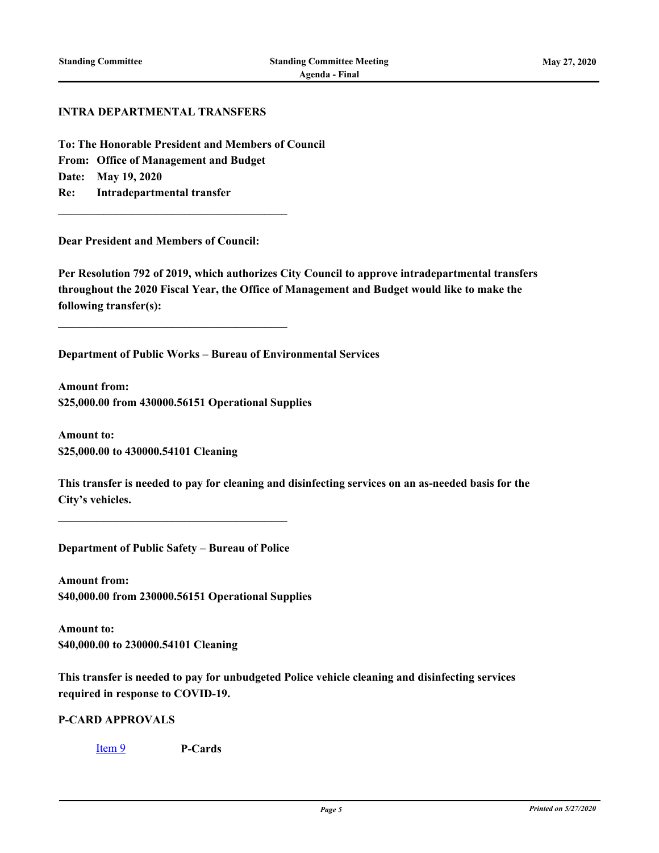#### **INTRA DEPARTMENTAL TRANSFERS**

**To: The Honorable President and Members of Council From: Office of Management and Budget Date: May 19, 2020 Re: Intradepartmental transfer**

**Dear President and Members of Council:**

**\_\_\_\_\_\_\_\_\_\_\_\_\_\_\_\_\_\_\_\_\_\_\_\_\_\_\_\_\_\_\_\_\_\_\_\_\_\_\_\_**

**\_\_\_\_\_\_\_\_\_\_\_\_\_\_\_\_\_\_\_\_\_\_\_\_\_\_\_\_\_\_\_\_\_\_\_\_\_\_\_\_**

**Per Resolution 792 of 2019, which authorizes City Council to approve intradepartmental transfers throughout the 2020 Fiscal Year, the Office of Management and Budget would like to make the following transfer(s):**

**Department of Public Works – Bureau of Environmental Services**

**Amount from: \$25,000.00 from 430000.56151 Operational Supplies**

**Amount to: \$25,000.00 to 430000.54101 Cleaning**

**This transfer is needed to pay for cleaning and disinfecting services on an as-needed basis for the City's vehicles.**

**Department of Public Safety – Bureau of Police**

**\_\_\_\_\_\_\_\_\_\_\_\_\_\_\_\_\_\_\_\_\_\_\_\_\_\_\_\_\_\_\_\_\_\_\_\_\_\_\_\_**

**Amount from: \$40,000.00 from 230000.56151 Operational Supplies**

**Amount to: \$40,000.00 to 230000.54101 Cleaning**

**This transfer is needed to pay for unbudgeted Police vehicle cleaning and disinfecting services required in response to COVID-19.**

#### **P-CARD APPROVALS**

[Item 9](http://pittsburgh.legistar.com/gateway.aspx?m=l&id=/matter.aspx?key=25167) **P-Cards**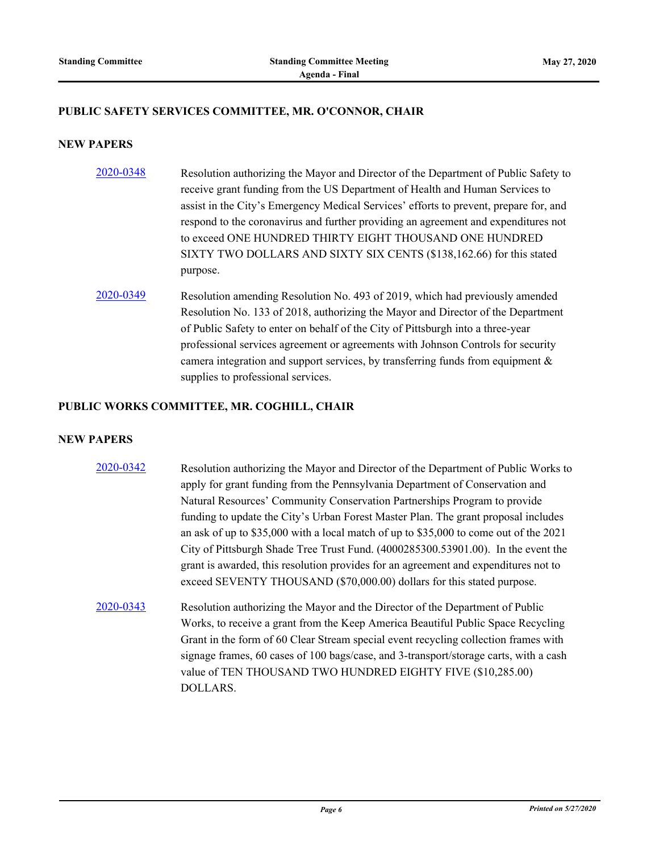#### **PUBLIC SAFETY SERVICES COMMITTEE, MR. O'CONNOR, CHAIR**

#### **NEW PAPERS**

- [2020-0348](http://pittsburgh.legistar.com/gateway.aspx?m=l&id=/matter.aspx?key=25140) Resolution authorizing the Mayor and Director of the Department of Public Safety to receive grant funding from the US Department of Health and Human Services to assist in the City's Emergency Medical Services' efforts to prevent, prepare for, and respond to the coronavirus and further providing an agreement and expenditures not to exceed ONE HUNDRED THIRTY EIGHT THOUSAND ONE HUNDRED SIXTY TWO DOLLARS AND SIXTY SIX CENTS (\$138,162.66) for this stated purpose.
- [2020-0349](http://pittsburgh.legistar.com/gateway.aspx?m=l&id=/matter.aspx?key=25141) Resolution amending Resolution No. 493 of 2019, which had previously amended Resolution No. 133 of 2018, authorizing the Mayor and Director of the Department of Public Safety to enter on behalf of the City of Pittsburgh into a three-year professional services agreement or agreements with Johnson Controls for security camera integration and support services, by transferring funds from equipment  $\&$ supplies to professional services.

#### **PUBLIC WORKS COMMITTEE, MR. COGHILL, CHAIR**

#### **NEW PAPERS**

- [2020-0342](http://pittsburgh.legistar.com/gateway.aspx?m=l&id=/matter.aspx?key=25134) Resolution authorizing the Mayor and Director of the Department of Public Works to apply for grant funding from the Pennsylvania Department of Conservation and Natural Resources' Community Conservation Partnerships Program to provide funding to update the City's Urban Forest Master Plan. The grant proposal includes an ask of up to \$35,000 with a local match of up to \$35,000 to come out of the 2021 City of Pittsburgh Shade Tree Trust Fund. (4000285300.53901.00). In the event the grant is awarded, this resolution provides for an agreement and expenditures not to exceed SEVENTY THOUSAND (\$70,000.00) dollars for this stated purpose.
- [2020-0343](http://pittsburgh.legistar.com/gateway.aspx?m=l&id=/matter.aspx?key=25135) Resolution authorizing the Mayor and the Director of the Department of Public Works, to receive a grant from the Keep America Beautiful Public Space Recycling Grant in the form of 60 Clear Stream special event recycling collection frames with signage frames, 60 cases of 100 bags/case, and 3-transport/storage carts, with a cash value of TEN THOUSAND TWO HUNDRED EIGHTY FIVE (\$10,285.00) DOLLARS.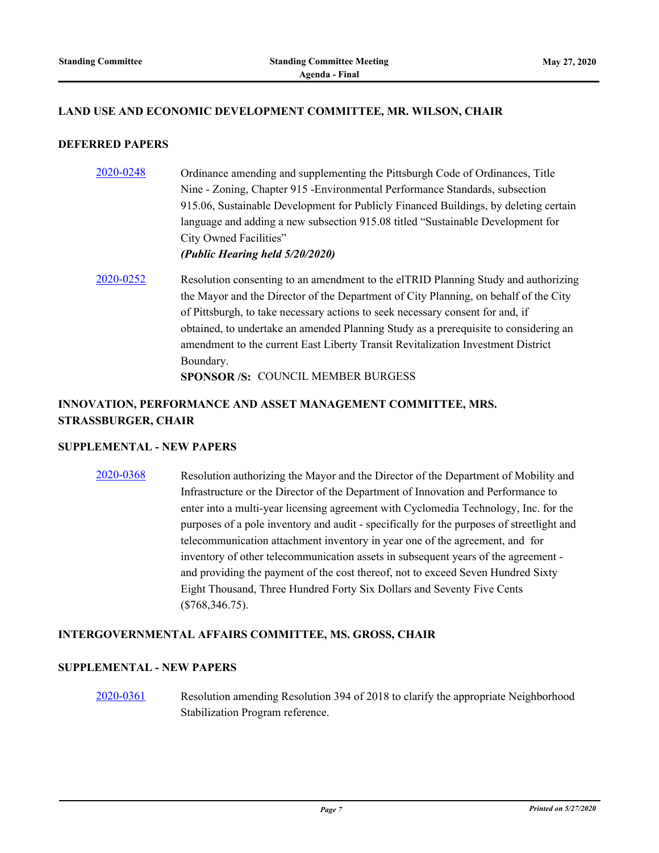#### **LAND USE AND ECONOMIC DEVELOPMENT COMMITTEE, MR. WILSON, CHAIR**

#### **DEFERRED PAPERS**

- [2020-0248](http://pittsburgh.legistar.com/gateway.aspx?m=l&id=/matter.aspx?key=25036) Ordinance amending and supplementing the Pittsburgh Code of Ordinances, Title Nine - Zoning, Chapter 915 -Environmental Performance Standards, subsection 915.06, Sustainable Development for Publicly Financed Buildings, by deleting certain language and adding a new subsection 915.08 titled "Sustainable Development for City Owned Facilities" *(Public Hearing held 5/20/2020)*
- $2020-0252$  Resolution consenting to an amendment to the elTRID Planning Study and authorizing the Mayor and the Director of the Department of City Planning, on behalf of the City of Pittsburgh, to take necessary actions to seek necessary consent for and, if obtained, to undertake an amended Planning Study as a prerequisite to considering an amendment to the current East Liberty Transit Revitalization Investment District Boundary. **SPONSOR /S:** COUNCIL MEMBER BURGESS

### **INNOVATION, PERFORMANCE AND ASSET MANAGEMENT COMMITTEE, MRS. STRASSBURGER, CHAIR**

#### **SUPPLEMENTAL - NEW PAPERS**

[2020-0368](http://pittsburgh.legistar.com/gateway.aspx?m=l&id=/matter.aspx?key=25161) Resolution authorizing the Mayor and the Director of the Department of Mobility and Infrastructure or the Director of the Department of Innovation and Performance to enter into a multi-year licensing agreement with Cyclomedia Technology, Inc. for the purposes of a pole inventory and audit - specifically for the purposes of streetlight and telecommunication attachment inventory in year one of the agreement, and for inventory of other telecommunication assets in subsequent years of the agreement and providing the payment of the cost thereof, not to exceed Seven Hundred Sixty Eight Thousand, Three Hundred Forty Six Dollars and Seventy Five Cents (\$768,346.75).

#### **INTERGOVERNMENTAL AFFAIRS COMMITTEE, MS. GROSS, CHAIR**

#### **SUPPLEMENTAL - NEW PAPERS**

[2020-0361](http://pittsburgh.legistar.com/gateway.aspx?m=l&id=/matter.aspx?key=25154) Resolution amending Resolution 394 of 2018 to clarify the appropriate Neighborhood Stabilization Program reference.